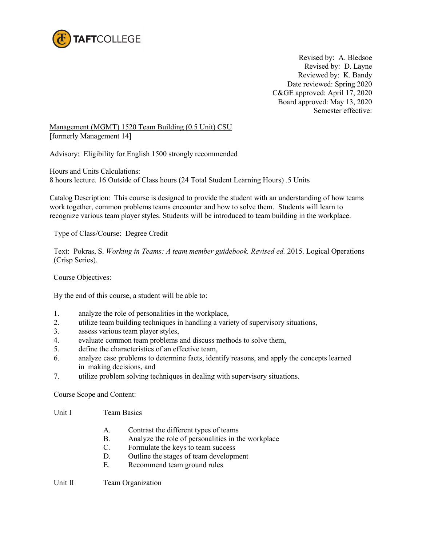

Revised by: A. Bledsoe Revised by: D. Layne Reviewed by: K. Bandy Date reviewed: Spring 2020 C&GE approved: April 17, 2020 Board approved: May 13, 2020 Semester effective:

Management (MGMT) 1520 Team Building (0.5 Unit) CSU [formerly Management 14]

Advisory: Eligibility for English 1500 strongly recommended

Hours and Units Calculations: 8 hours lecture. 16 Outside of Class hours (24 Total Student Learning Hours) .5 Units

Catalog Description: This course is designed to provide the student with an understanding of how teams work together, common problems teams encounter and how to solve them. Students will learn to recognize various team player styles. Students will be introduced to team building in the workplace.

Type of Class/Course: Degree Credit

Text: Pokras, S. *Working in Teams: A team member guidebook. Revised ed.* 2015. Logical Operations (Crisp Series).

Course Objectives:

By the end of this course, a student will be able to:

- 1. analyze the role of personalities in the workplace,
- 2. utilize team building techniques in handling a variety of supervisory situations,
- 3. assess various team player styles,
- 4. evaluate common team problems and discuss methods to solve them,
- 5. define the characteristics of an effective team,
- 6. analyze case problems to determine facts, identify reasons, and apply the concepts learned in making decisions, and
- 7. utilize problem solving techniques in dealing with supervisory situations.

Course Scope and Content:

- Unit I Team Basics
	- A. Contrast the different types of teams
	- B. Analyze the role of personalities in the workplace
	- C. Formulate the keys to team success
	- D. Outline the stages of team development
	- E. Recommend team ground rules

Unit II Team Organization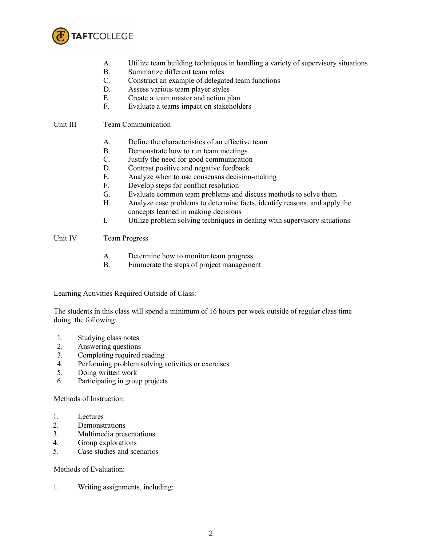

- A. Utilize team building techniques in handling a variety of supervisory situations
- B. Summarize different team roles
- C. Construct an example of delegated team functions
- D. Assess various team player styles<br>E. Create a team master and action n
- Create a team master and action plan
- F. Evaluate a teams impact on stakeholders

## Unit III Team Communication

- A. Define the characteristics of an effective team
- B. Demonstrate how to run team meetings<br>C. Justify the need for good communication
- Justify the need for good communication
- D. Contrast positive and negative feedback
- E. Analyze when to use consensus decision-making<br>F. Develop steps for conflict resolution
- Develop steps for conflict resolution
- G. Evaluate common team problems and discuss methods to solve them
- H. Analyze case problems to determine facts, identify reasons, and apply the concepts learned in making decisions
- I. Utilize problem solving techniques in dealing with supervisory situations

## Unit IV Team Progress

- A. Determine how to monitor team progress
- B. Enumerate the steps of project management

Learning Activities Required Outside of Class:

The students in this class will spend a minimum of 16 hours per week outside of regular class time doing the following:

- 1. Studying class notes
- 2. Answering questions
- 3. Completing required reading
- 4. Performing problem solving activities or exercises
- 5. Doing written work
- 6. Participating in group projects

Methods of Instruction:

- 1. Lectures
- 2. Demonstrations
- 3. Multimedia presentations
- 4. Group explorations
- 5. Case studies and scenarios

Methods of Evaluation:

1. Writing assignments, including: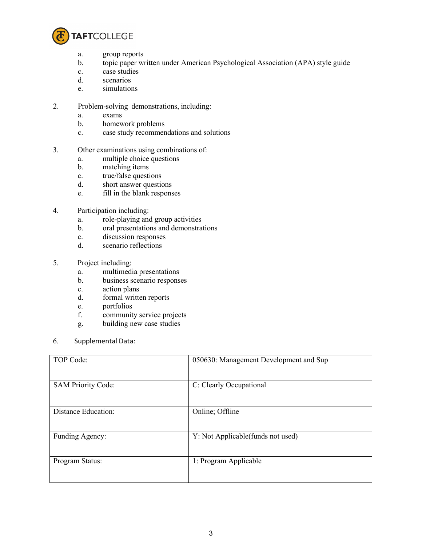

- a. group reports
- b. topic paper written under American Psychological Association (APA) style guide
- c. case studies
- d. scenarios
- e. simulations
- 2. Problem-solving demonstrations, including:
	- a. exams
	- b. homework problems
	- c. case study recommendations and solutions
- 3. Other examinations using combinations of:
	- a. multiple choice questions
	- b. matching items
	- c. true/false questions
	- d. short answer questions
	- e. fill in the blank responses
- 4. Participation including:
	- a. role-playing and group activities
	- b. oral presentations and demonstrations
	- c. discussion responses
	- d. scenario reflections
- 5. Project including:
	- a. multimedia presentations
	- b. business scenario responses
	- c. action plans
	- d. formal written reports
	- e. portfolios
	- f. community service projects
	- g. building new case studies
- 6. Supplemental Data:

| TOP Code:                  | 050630: Management Development and Sup |
|----------------------------|----------------------------------------|
| <b>SAM Priority Code:</b>  | C: Clearly Occupational                |
| <b>Distance Education:</b> | Online; Offline                        |
| Funding Agency:            | Y: Not Applicable (funds not used)     |
| Program Status:            | 1: Program Applicable                  |